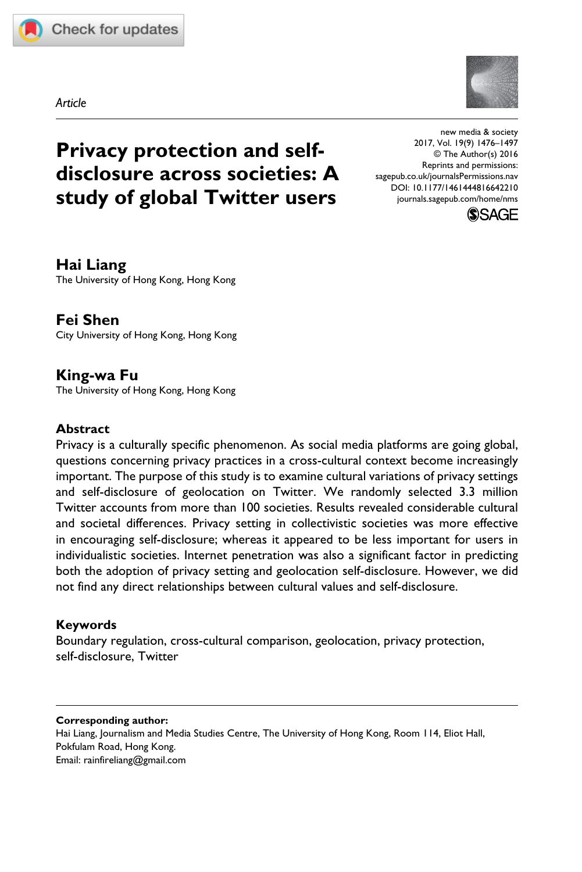





# **Privacy protection and selfdisclosure across societies: A study of global Twitter users**

https://doi.org/10.1177/1461444816642210 DOI: 10.1177/1461444816642210 new media & society 2017, Vol. 19(9) 1476–1497 © The Author(s) 2016 Reprints and permissions: [sagepub.co.uk/journalsPermissions.nav](https://uk.sagepub.com/en-gb/journals-permissions) [journals.sagepub.com/home/nms](https://journals.sagepub.com/home/nms)



#### **Hai Liang** The University of Hong Kong, Hong Kong

**Fei Shen** City University of Hong Kong, Hong Kong

# **King-wa Fu**

The University of Hong Kong, Hong Kong

## **Abstract**

Privacy is a culturally specific phenomenon. As social media platforms are going global, questions concerning privacy practices in a cross-cultural context become increasingly important. The purpose of this study is to examine cultural variations of privacy settings and self-disclosure of geolocation on Twitter. We randomly selected 3.3 million Twitter accounts from more than 100 societies. Results revealed considerable cultural and societal differences. Privacy setting in collectivistic societies was more effective in encouraging self-disclosure; whereas it appeared to be less important for users in individualistic societies. Internet penetration was also a significant factor in predicting both the adoption of privacy setting and geolocation self-disclosure. However, we did not find any direct relationships between cultural values and self-disclosure.

## **Keywords**

Boundary regulation, cross-cultural comparison, geolocation, privacy protection, self-disclosure, Twitter

#### **Corresponding author:**

Hai Liang, Journalism and Media Studies Centre, The University of Hong Kong, Room 114, Eliot Hall, Pokfulam Road, Hong Kong. Email: rainfireliang@gmail.com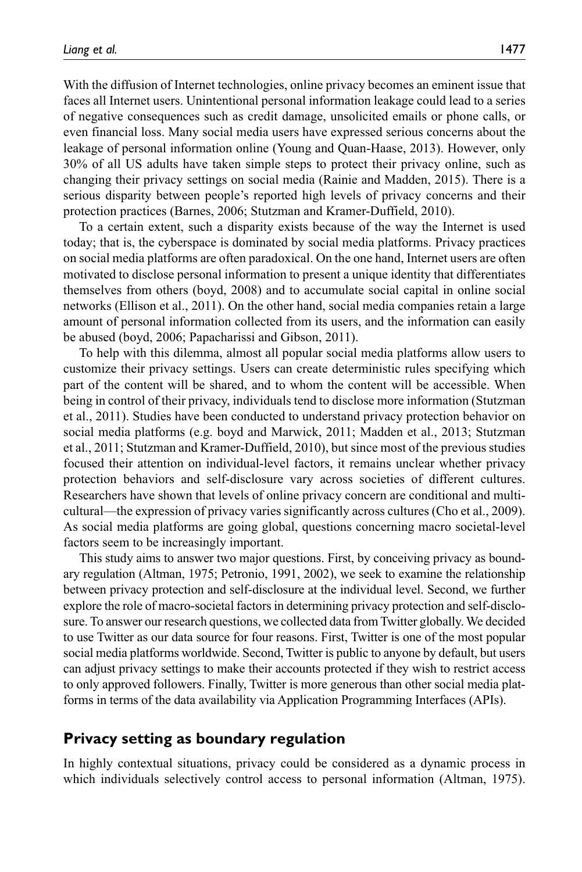With the diffusion of Internet technologies, online privacy becomes an eminent issue that faces all Internet users. Unintentional personal information leakage could lead to a series of negative consequences such as credit damage, unsolicited emails or phone calls, or even financial loss. Many social media users have expressed serious concerns about the leakage of personal information online (Young and Quan-Haase, 2013). However, only 30% of all US adults have taken simple steps to protect their privacy online, such as changing their privacy settings on social media (Rainie and Madden, 2015). There is a serious disparity between people's reported high levels of privacy concerns and their protection practices (Barnes, 2006; Stutzman and Kramer-Duffield, 2010).

To a certain extent, such a disparity exists because of the way the Internet is used today; that is, the cyberspace is dominated by social media platforms. Privacy practices on social media platforms are often paradoxical. On the one hand, Internet users are often motivated to disclose personal information to present a unique identity that differentiates themselves from others (boyd, 2008) and to accumulate social capital in online social networks (Ellison et al., 2011). On the other hand, social media companies retain a large amount of personal information collected from its users, and the information can easily be abused (boyd, 2006; Papacharissi and Gibson, 2011).

To help with this dilemma, almost all popular social media platforms allow users to customize their privacy settings. Users can create deterministic rules specifying which part of the content will be shared, and to whom the content will be accessible. When being in control of their privacy, individuals tend to disclose more information (Stutzman et al., 2011). Studies have been conducted to understand privacy protection behavior on social media platforms (e.g. boyd and Marwick, 2011; Madden et al., 2013; Stutzman et al., 2011; Stutzman and Kramer-Duffield, 2010), but since most of the previous studies focused their attention on individual-level factors, it remains unclear whether privacy protection behaviors and self-disclosure vary across societies of different cultures. Researchers have shown that levels of online privacy concern are conditional and multicultural—the expression of privacy varies significantly across cultures (Cho et al., 2009). As social media platforms are going global, questions concerning macro societal-level factors seem to be increasingly important.

This study aims to answer two major questions. First, by conceiving privacy as boundary regulation (Altman, 1975; Petronio, 1991, 2002), we seek to examine the relationship between privacy protection and self-disclosure at the individual level. Second, we further explore the role of macro-societal factors in determining privacy protection and self-disclosure. To answer our research questions, we collected data from Twitter globally. We decided to use Twitter as our data source for four reasons. First, Twitter is one of the most popular social media platforms worldwide. Second, Twitter is public to anyone by default, but users can adjust privacy settings to make their accounts protected if they wish to restrict access to only approved followers. Finally, Twitter is more generous than other social media platforms in terms of the data availability via Application Programming Interfaces (APIs).

## **Privacy setting as boundary regulation**

In highly contextual situations, privacy could be considered as a dynamic process in which individuals selectively control access to personal information (Altman, 1975).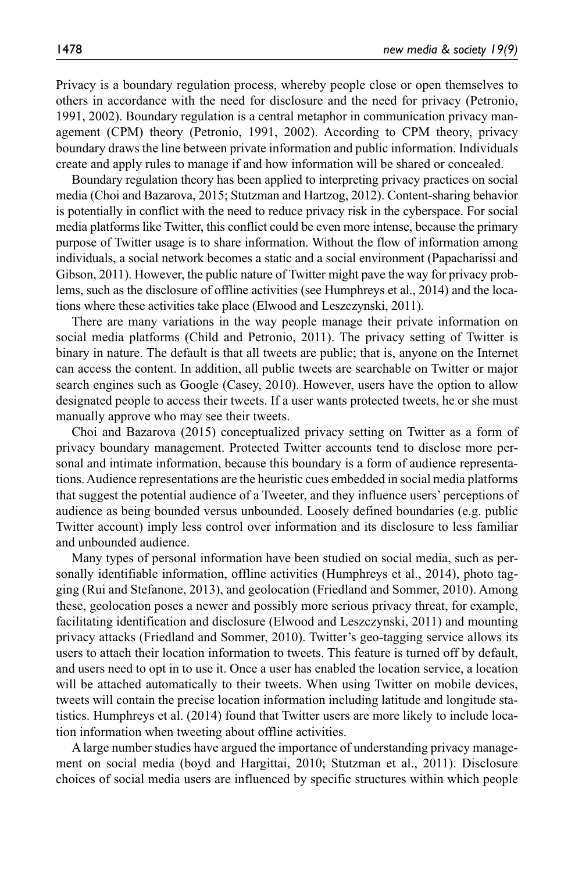Privacy is a boundary regulation process, whereby people close or open themselves to others in accordance with the need for disclosure and the need for privacy (Petronio, 1991, 2002). Boundary regulation is a central metaphor in communication privacy management (CPM) theory (Petronio, 1991, 2002). According to CPM theory, privacy boundary draws the line between private information and public information. Individuals create and apply rules to manage if and how information will be shared or concealed.

Boundary regulation theory has been applied to interpreting privacy practices on social media (Choi and Bazarova, 2015; Stutzman and Hartzog, 2012). Content-sharing behavior is potentially in conflict with the need to reduce privacy risk in the cyberspace. For social media platforms like Twitter, this conflict could be even more intense, because the primary purpose of Twitter usage is to share information. Without the flow of information among individuals, a social network becomes a static and a social environment (Papacharissi and Gibson, 2011). However, the public nature of Twitter might pave the way for privacy problems, such as the disclosure of offline activities (see Humphreys et al., 2014) and the locations where these activities take place (Elwood and Leszczynski, 2011).

There are many variations in the way people manage their private information on social media platforms (Child and Petronio, 2011). The privacy setting of Twitter is binary in nature. The default is that all tweets are public; that is, anyone on the Internet can access the content. In addition, all public tweets are searchable on Twitter or major search engines such as Google (Casey, 2010). However, users have the option to allow designated people to access their tweets. If a user wants protected tweets, he or she must manually approve who may see their tweets.

Choi and Bazarova (2015) conceptualized privacy setting on Twitter as a form of privacy boundary management. Protected Twitter accounts tend to disclose more personal and intimate information, because this boundary is a form of audience representations. Audience representations are the heuristic cues embedded in social media platforms that suggest the potential audience of a Tweeter, and they influence users' perceptions of audience as being bounded versus unbounded. Loosely defined boundaries (e.g. public Twitter account) imply less control over information and its disclosure to less familiar and unbounded audience.

Many types of personal information have been studied on social media, such as personally identifiable information, offline activities (Humphreys et al., 2014), photo tagging (Rui and Stefanone, 2013), and geolocation (Friedland and Sommer, 2010). Among these, geolocation poses a newer and possibly more serious privacy threat, for example, facilitating identification and disclosure (Elwood and Leszczynski, 2011) and mounting privacy attacks (Friedland and Sommer, 2010). Twitter's geo-tagging service allows its users to attach their location information to tweets. This feature is turned off by default, and users need to opt in to use it. Once a user has enabled the location service, a location will be attached automatically to their tweets. When using Twitter on mobile devices, tweets will contain the precise location information including latitude and longitude statistics. Humphreys et al. (2014) found that Twitter users are more likely to include location information when tweeting about offline activities.

A large number studies have argued the importance of understanding privacy management on social media (boyd and Hargittai, 2010; Stutzman et al., 2011). Disclosure choices of social media users are influenced by specific structures within which people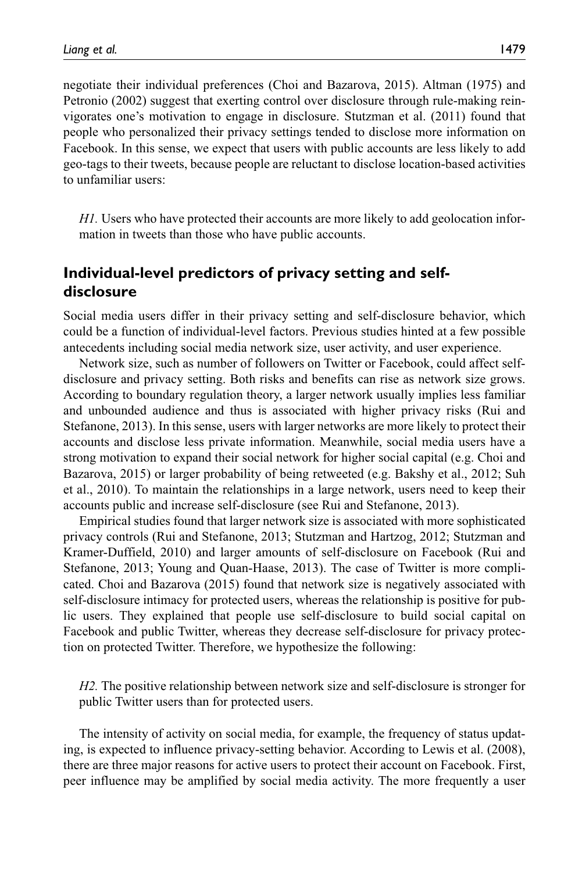negotiate their individual preferences (Choi and Bazarova, 2015). Altman (1975) and Petronio (2002) suggest that exerting control over disclosure through rule-making reinvigorates one's motivation to engage in disclosure. Stutzman et al. (2011) found that people who personalized their privacy settings tended to disclose more information on Facebook. In this sense, we expect that users with public accounts are less likely to add geo-tags to their tweets, because people are reluctant to disclose location-based activities to unfamiliar users:

*H1*. Users who have protected their accounts are more likely to add geolocation information in tweets than those who have public accounts.

# **Individual-level predictors of privacy setting and selfdisclosure**

Social media users differ in their privacy setting and self-disclosure behavior, which could be a function of individual-level factors. Previous studies hinted at a few possible antecedents including social media network size, user activity, and user experience.

Network size, such as number of followers on Twitter or Facebook, could affect selfdisclosure and privacy setting. Both risks and benefits can rise as network size grows. According to boundary regulation theory, a larger network usually implies less familiar and unbounded audience and thus is associated with higher privacy risks (Rui and Stefanone, 2013). In this sense, users with larger networks are more likely to protect their accounts and disclose less private information. Meanwhile, social media users have a strong motivation to expand their social network for higher social capital (e.g. Choi and Bazarova, 2015) or larger probability of being retweeted (e.g. Bakshy et al., 2012; Suh et al., 2010). To maintain the relationships in a large network, users need to keep their accounts public and increase self-disclosure (see Rui and Stefanone, 2013).

Empirical studies found that larger network size is associated with more sophisticated privacy controls (Rui and Stefanone, 2013; Stutzman and Hartzog, 2012; Stutzman and Kramer-Duffield, 2010) and larger amounts of self-disclosure on Facebook (Rui and Stefanone, 2013; Young and Quan-Haase, 2013). The case of Twitter is more complicated. Choi and Bazarova (2015) found that network size is negatively associated with self-disclosure intimacy for protected users, whereas the relationship is positive for public users. They explained that people use self-disclosure to build social capital on Facebook and public Twitter, whereas they decrease self-disclosure for privacy protection on protected Twitter. Therefore, we hypothesize the following:

*H2.* The positive relationship between network size and self-disclosure is stronger for public Twitter users than for protected users.

The intensity of activity on social media, for example, the frequency of status updating, is expected to influence privacy-setting behavior. According to Lewis et al. (2008), there are three major reasons for active users to protect their account on Facebook. First, peer influence may be amplified by social media activity. The more frequently a user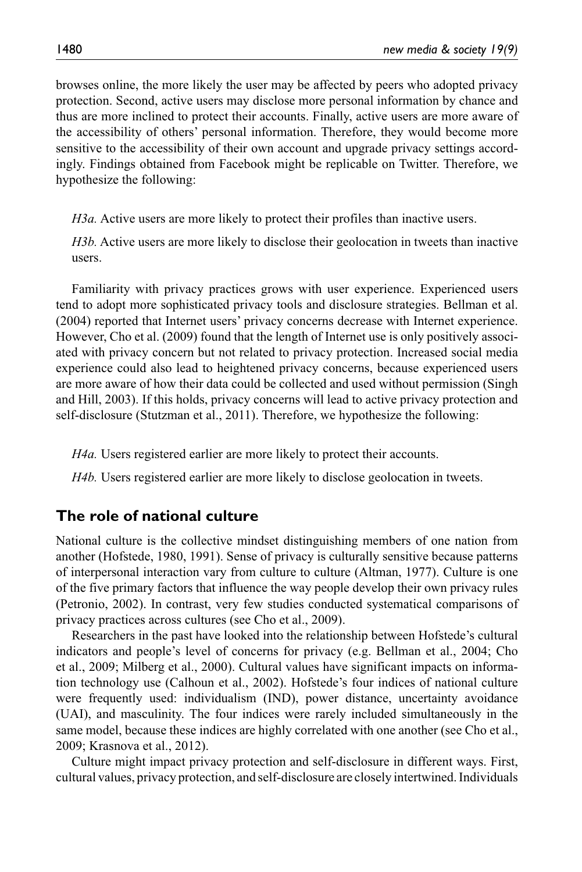browses online, the more likely the user may be affected by peers who adopted privacy protection. Second, active users may disclose more personal information by chance and thus are more inclined to protect their accounts. Finally, active users are more aware of the accessibility of others' personal information. Therefore, they would become more sensitive to the accessibility of their own account and upgrade privacy settings accordingly. Findings obtained from Facebook might be replicable on Twitter. Therefore, we hypothesize the following:

*H3a.* Active users are more likely to protect their profiles than inactive users.

*H3b.* Active users are more likely to disclose their geolocation in tweets than inactive users.

Familiarity with privacy practices grows with user experience. Experienced users tend to adopt more sophisticated privacy tools and disclosure strategies. Bellman et al. (2004) reported that Internet users' privacy concerns decrease with Internet experience. However, Cho et al. (2009) found that the length of Internet use is only positively associated with privacy concern but not related to privacy protection. Increased social media experience could also lead to heightened privacy concerns, because experienced users are more aware of how their data could be collected and used without permission (Singh and Hill, 2003). If this holds, privacy concerns will lead to active privacy protection and self-disclosure (Stutzman et al., 2011). Therefore, we hypothesize the following:

*H4a.* Users registered earlier are more likely to protect their accounts.

*H4b.* Users registered earlier are more likely to disclose geolocation in tweets.

## **The role of national culture**

National culture is the collective mindset distinguishing members of one nation from another (Hofstede, 1980, 1991). Sense of privacy is culturally sensitive because patterns of interpersonal interaction vary from culture to culture (Altman, 1977). Culture is one of the five primary factors that influence the way people develop their own privacy rules (Petronio, 2002). In contrast, very few studies conducted systematical comparisons of privacy practices across cultures (see Cho et al., 2009).

Researchers in the past have looked into the relationship between Hofstede's cultural indicators and people's level of concerns for privacy (e.g. Bellman et al., 2004; Cho et al., 2009; Milberg et al., 2000). Cultural values have significant impacts on information technology use (Calhoun et al., 2002). Hofstede's four indices of national culture were frequently used: individualism (IND), power distance, uncertainty avoidance (UAI), and masculinity. The four indices were rarely included simultaneously in the same model, because these indices are highly correlated with one another (see Cho et al., 2009; Krasnova et al., 2012).

Culture might impact privacy protection and self-disclosure in different ways. First, cultural values, privacy protection, and self-disclosure are closely intertwined. Individuals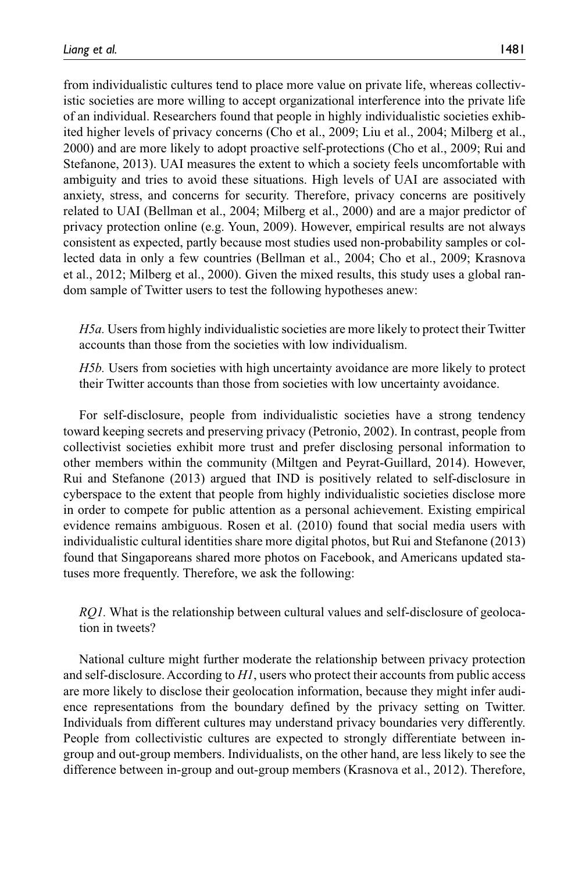from individualistic cultures tend to place more value on private life, whereas collectivistic societies are more willing to accept organizational interference into the private life of an individual. Researchers found that people in highly individualistic societies exhibited higher levels of privacy concerns (Cho et al., 2009; Liu et al., 2004; Milberg et al., 2000) and are more likely to adopt proactive self-protections (Cho et al., 2009; Rui and Stefanone, 2013). UAI measures the extent to which a society feels uncomfortable with ambiguity and tries to avoid these situations. High levels of UAI are associated with anxiety, stress, and concerns for security. Therefore, privacy concerns are positively related to UAI (Bellman et al., 2004; Milberg et al., 2000) and are a major predictor of privacy protection online (e.g. Youn, 2009). However, empirical results are not always consistent as expected, partly because most studies used non-probability samples or collected data in only a few countries (Bellman et al., 2004; Cho et al., 2009; Krasnova et al., 2012; Milberg et al., 2000). Given the mixed results, this study uses a global random sample of Twitter users to test the following hypotheses anew:

*H5a.* Users from highly individualistic societies are more likely to protect their Twitter accounts than those from the societies with low individualism.

*H5b.* Users from societies with high uncertainty avoidance are more likely to protect their Twitter accounts than those from societies with low uncertainty avoidance.

For self-disclosure, people from individualistic societies have a strong tendency toward keeping secrets and preserving privacy (Petronio, 2002). In contrast, people from collectivist societies exhibit more trust and prefer disclosing personal information to other members within the community (Miltgen and Peyrat-Guillard, 2014). However, Rui and Stefanone (2013) argued that IND is positively related to self-disclosure in cyberspace to the extent that people from highly individualistic societies disclose more in order to compete for public attention as a personal achievement. Existing empirical evidence remains ambiguous. Rosen et al. (2010) found that social media users with individualistic cultural identities share more digital photos, but Rui and Stefanone (2013) found that Singaporeans shared more photos on Facebook, and Americans updated statuses more frequently. Therefore, we ask the following:

*RQ1.* What is the relationship between cultural values and self-disclosure of geolocation in tweets?

National culture might further moderate the relationship between privacy protection and self-disclosure. According to *H1*, users who protect their accounts from public access are more likely to disclose their geolocation information, because they might infer audience representations from the boundary defined by the privacy setting on Twitter. Individuals from different cultures may understand privacy boundaries very differently. People from collectivistic cultures are expected to strongly differentiate between ingroup and out-group members. Individualists, on the other hand, are less likely to see the difference between in-group and out-group members (Krasnova et al., 2012). Therefore,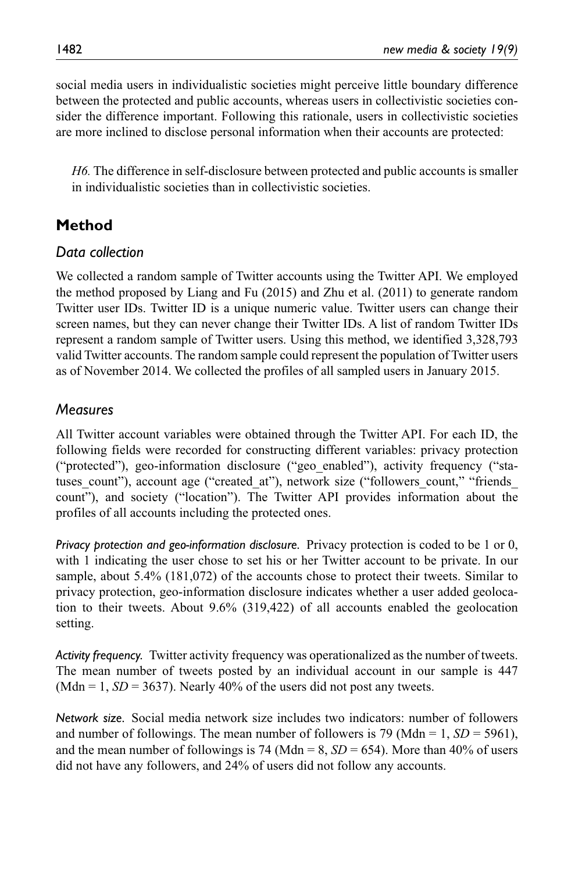social media users in individualistic societies might perceive little boundary difference between the protected and public accounts, whereas users in collectivistic societies consider the difference important. Following this rationale, users in collectivistic societies are more inclined to disclose personal information when their accounts are protected:

*H6.* The difference in self-disclosure between protected and public accounts is smaller in individualistic societies than in collectivistic societies.

# **Method**

## *Data collection*

We collected a random sample of Twitter accounts using the Twitter API. We employed the method proposed by Liang and Fu (2015) and Zhu et al. (2011) to generate random Twitter user IDs. Twitter ID is a unique numeric value. Twitter users can change their screen names, but they can never change their Twitter IDs. A list of random Twitter IDs represent a random sample of Twitter users. Using this method, we identified 3,328,793 valid Twitter accounts. The random sample could represent the population of Twitter users as of November 2014. We collected the profiles of all sampled users in January 2015.

# *Measures*

All Twitter account variables were obtained through the Twitter API. For each ID, the following fields were recorded for constructing different variables: privacy protection ("protected"), geo-information disclosure ("geo\_enabled"), activity frequency ("statuses count"), account age ("created at"), network size ("followers count," "friends count"), and society ("location"). The Twitter API provides information about the profiles of all accounts including the protected ones.

*Privacy protection and geo-information disclosure.* Privacy protection is coded to be 1 or 0, with 1 indicating the user chose to set his or her Twitter account to be private. In our sample, about 5.4% (181,072) of the accounts chose to protect their tweets. Similar to privacy protection, geo-information disclosure indicates whether a user added geolocation to their tweets. About 9.6% (319,422) of all accounts enabled the geolocation setting.

*Activity frequency.* Twitter activity frequency was operationalized as the number of tweets. The mean number of tweets posted by an individual account in our sample is 447 (Mdn = 1,  $SD = 3637$ ). Nearly 40% of the users did not post any tweets.

*Network size.* Social media network size includes two indicators: number of followers and number of followings. The mean number of followers is 79 (Mdn =  $1, SD = 5961$ ), and the mean number of followings is 74 (Mdn =  $8$ , *SD* = 654). More than 40% of users did not have any followers, and 24% of users did not follow any accounts.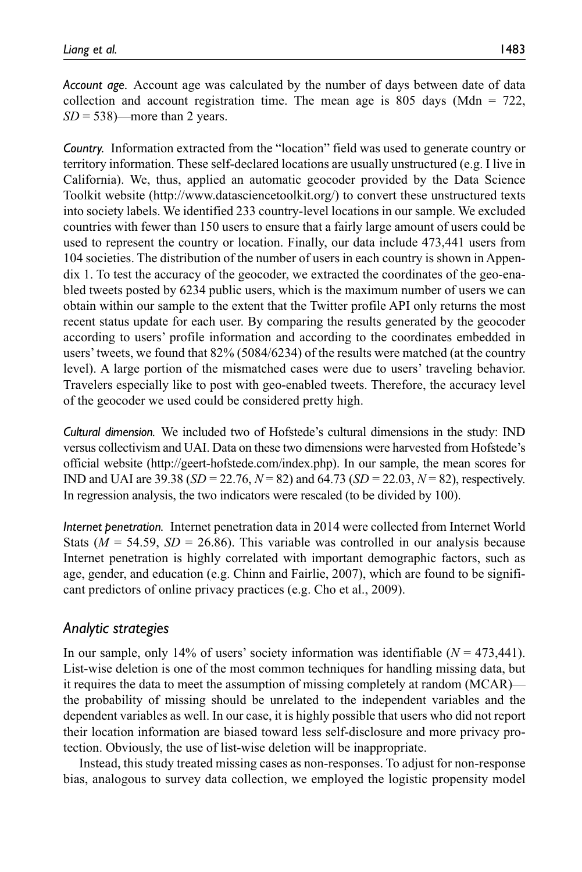*Account age.* Account age was calculated by the number of days between date of data collection and account registration time. The mean age is 805 days (Mdn  $= 722$ , *SD* = 538)—more than 2 years.

*Country.* Information extracted from the "location" field was used to generate country or territory information. These self-declared locations are usually unstructured (e.g. I live in California). We, thus, applied an automatic geocoder provided by the Data Science Toolkit website (http://www.datasciencetoolkit.org/) to convert these unstructured texts into society labels. We identified 233 country-level locations in our sample. We excluded countries with fewer than 150 users to ensure that a fairly large amount of users could be used to represent the country or location. Finally, our data include 473,441 users from 104 societies. The distribution of the number of users in each country is shown in Appendix 1. To test the accuracy of the geocoder, we extracted the coordinates of the geo-enabled tweets posted by 6234 public users, which is the maximum number of users we can obtain within our sample to the extent that the Twitter profile API only returns the most recent status update for each user. By comparing the results generated by the geocoder according to users' profile information and according to the coordinates embedded in users' tweets, we found that 82% (5084/6234) of the results were matched (at the country level). A large portion of the mismatched cases were due to users' traveling behavior. Travelers especially like to post with geo-enabled tweets. Therefore, the accuracy level of the geocoder we used could be considered pretty high.

*Cultural dimension.* We included two of Hofstede's cultural dimensions in the study: IND versus collectivism and UAI. Data on these two dimensions were harvested from Hofstede's official website (http://geert-hofstede.com/index.php). In our sample, the mean scores for IND and UAI are 39.38 (*SD* = 22.76, *N* = 82) and 64.73 (*SD* = 22.03, *N* = 82), respectively. In regression analysis, the two indicators were rescaled (to be divided by 100).

*Internet penetration.* Internet penetration data in 2014 were collected from Internet World Stats ( $M = 54.59$ ,  $SD = 26.86$ ). This variable was controlled in our analysis because Internet penetration is highly correlated with important demographic factors, such as age, gender, and education (e.g. Chinn and Fairlie, 2007), which are found to be significant predictors of online privacy practices (e.g. Cho et al., 2009).

## *Analytic strategies*

In our sample, only 14% of users' society information was identifiable  $(N = 473,441)$ . List-wise deletion is one of the most common techniques for handling missing data, but it requires the data to meet the assumption of missing completely at random (MCAR) the probability of missing should be unrelated to the independent variables and the dependent variables as well. In our case, it is highly possible that users who did not report their location information are biased toward less self-disclosure and more privacy protection. Obviously, the use of list-wise deletion will be inappropriate.

Instead, this study treated missing cases as non-responses. To adjust for non-response bias, analogous to survey data collection, we employed the logistic propensity model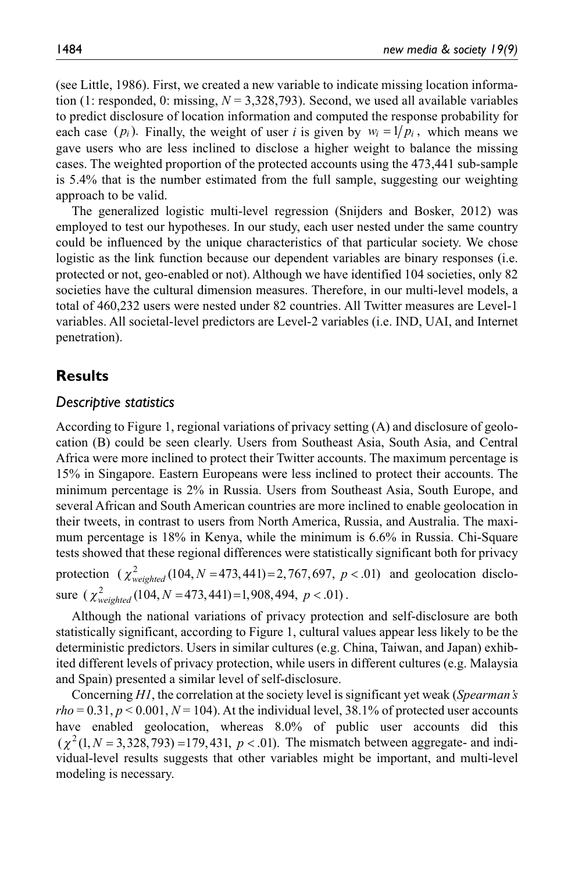(see Little, 1986). First, we created a new variable to indicate missing location information (1: responded, 0: missing,  $N = 3,328,793$ ). Second, we used all available variables to predict disclosure of location information and computed the response probability for each case  $(p_i)$ . Finally, the weight of user *i* is given by  $w_i = 1/p_i$ , which means we gave users who are less inclined to disclose a higher weight to balance the missing cases. The weighted proportion of the protected accounts using the 473,441 sub-sample is 5.4% that is the number estimated from the full sample, suggesting our weighting approach to be valid.

The generalized logistic multi-level regression (Snijders and Bosker, 2012) was employed to test our hypotheses. In our study, each user nested under the same country could be influenced by the unique characteristics of that particular society. We chose logistic as the link function because our dependent variables are binary responses (i.e. protected or not, geo-enabled or not). Although we have identified 104 societies, only 82 societies have the cultural dimension measures. Therefore, in our multi-level models, a total of 460,232 users were nested under 82 countries. All Twitter measures are Level-1 variables. All societal-level predictors are Level-2 variables (i.e. IND, UAI, and Internet penetration).

## **Results**

#### *Descriptive statistics*

According to Figure 1, regional variations of privacy setting (A) and disclosure of geolocation (B) could be seen clearly. Users from Southeast Asia, South Asia, and Central Africa were more inclined to protect their Twitter accounts. The maximum percentage is 15% in Singapore. Eastern Europeans were less inclined to protect their accounts. The minimum percentage is 2% in Russia. Users from Southeast Asia, South Europe, and several African and South American countries are more inclined to enable geolocation in their tweets, in contrast to users from North America, Russia, and Australia. The maximum percentage is 18% in Kenya, while the minimum is 6.6% in Russia. Chi-Square tests showed that these regional differences were statistically significant both for privacy

protection  $(\chi^2_{weighted}(104, N=473, 441)=2,767,697, p<.01)$  and geolocation disclosure  $(\chi^2_{weighted} (104, N = 473, 441) = 1,908, 494, p < .01)$ .

Although the national variations of privacy protection and self-disclosure are both statistically significant, according to Figure 1, cultural values appear less likely to be the deterministic predictors. Users in similar cultures (e.g. China, Taiwan, and Japan) exhibited different levels of privacy protection, while users in different cultures (e.g. Malaysia and Spain) presented a similar level of self-disclosure.

Concerning *H1*, the correlation at the society level is significant yet weak (*Spearman's*   $rho = 0.31, p \le 0.001, N = 104$ . At the individual level, 38.1% of protected user accounts have enabled geolocation, whereas 8.0% of public user accounts did this  $(\chi^2 (1, N = 3, 328, 793) = 179, 431, p < .01)$ . The mismatch between aggregate- and individual-level results suggests that other variables might be important, and multi-level modeling is necessary.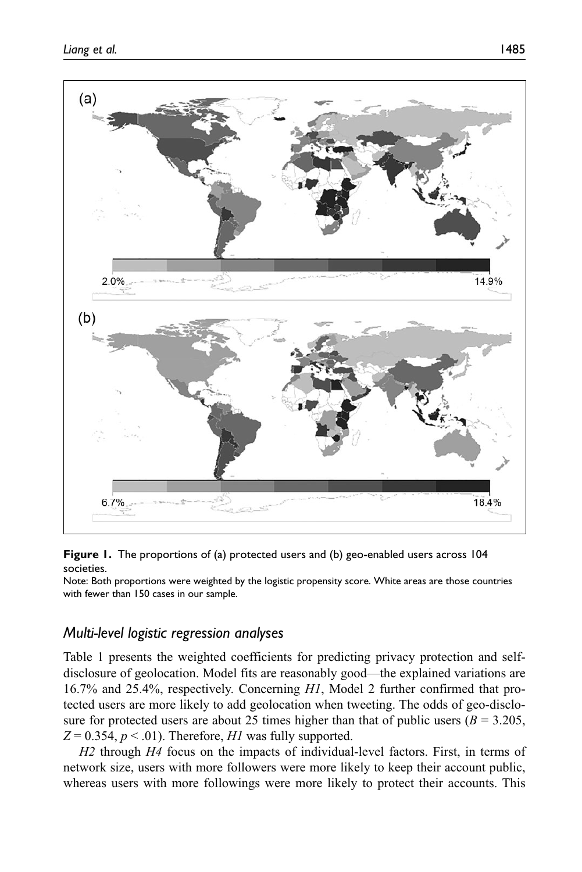

#### **Figure 1.** The proportions of (a) protected users and (b) geo-enabled users across 104 societies.

Note: Both proportions were weighted by the logistic propensity score. White areas are those countries with fewer than 150 cases in our sample.

# *Multi-level logistic regression analyses*

Table 1 presents the weighted coefficients for predicting privacy protection and selfdisclosure of geolocation. Model fits are reasonably good—the explained variations are 16.7% and 25.4%, respectively. Concerning *H1*, Model 2 further confirmed that protected users are more likely to add geolocation when tweeting. The odds of geo-disclosure for protected users are about 25 times higher than that of public users ( $B = 3.205$ ,  $Z = 0.354$ ,  $p < .01$ ). Therefore, *H1* was fully supported.

*H2* through *H4* focus on the impacts of individual-level factors. First, in terms of network size, users with more followers were more likely to keep their account public, whereas users with more followings were more likely to protect their accounts. This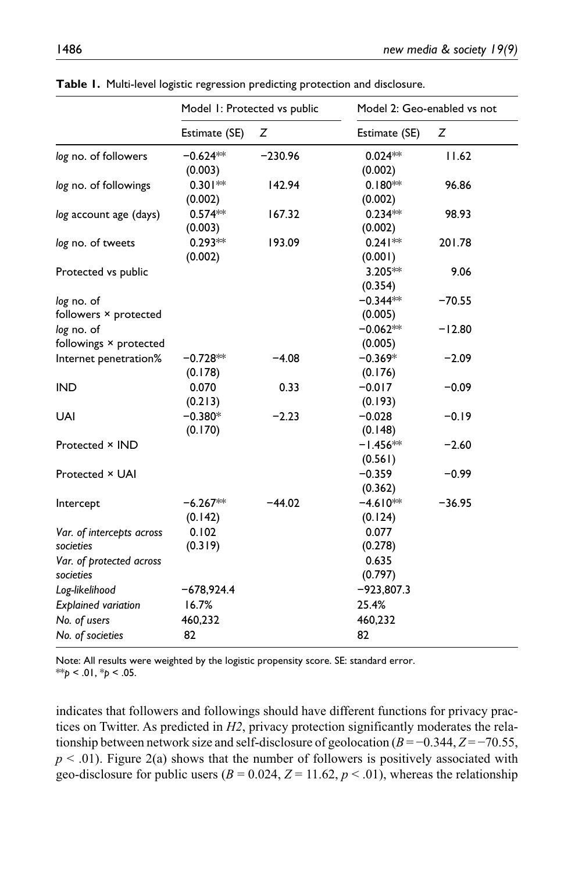|                            | Model 1: Protected vs public |           | Model 2: Geo-enabled vs not |          |  |
|----------------------------|------------------------------|-----------|-----------------------------|----------|--|
|                            | Estimate (SE)                | Z         | Estimate (SE)               | Ζ        |  |
| log no. of followers       | $-0.624**$                   | $-230.96$ | $0.024**$                   | 11.62    |  |
|                            | (0.003)                      |           | (0.002)                     |          |  |
| log no. of followings      | $0.301**$                    | 142.94    | $0.180**$                   | 96.86    |  |
|                            | (0.002)                      |           | (0.002)                     |          |  |
| log account age (days)     | $0.574**$                    | 167.32    | $0.234**$                   | 98.93    |  |
|                            | (0.003)                      |           | (0.002)                     |          |  |
| log no. of tweets          | $0.293**$                    | 193.09    | $0.241**$                   | 201.78   |  |
|                            | (0.002)                      |           | (0.001)                     |          |  |
| Protected vs public        |                              |           | $3.205**$                   | 9.06     |  |
|                            |                              |           | (0.354)                     |          |  |
| log no. of                 |                              |           | $-0.344**$                  | $-70.55$ |  |
| followers × protected      |                              |           | (0.005)                     |          |  |
| log no. of                 |                              |           | $-0.062**$                  | $-12.80$ |  |
| followings × protected     |                              |           | (0.005)                     |          |  |
| Internet penetration%      | $-0.728**$                   | $-4.08$   | $-0.369*$                   | $-2.09$  |  |
|                            | (0.178)                      |           | (0.176)                     |          |  |
| <b>IND</b>                 | 0.070                        | 0.33      | $-0.017$                    | $-0.09$  |  |
|                            | (0.213)                      |           | (0.193)                     |          |  |
| <b>UAI</b>                 | $-0.380*$                    | $-2.23$   | $-0.028$                    | $-0.19$  |  |
|                            | (0.170)                      |           | (0.148)                     |          |  |
| Protected × IND            |                              |           | $-1.456**$                  | -2.60    |  |
|                            |                              |           | (0.561)                     |          |  |
| Protected × UAI            |                              |           | $-0.359$                    | $-0.99$  |  |
|                            |                              |           | (0.362)                     |          |  |
| Intercept                  | $-6.267**$                   | $-44.02$  | $-4.610**$                  | $-36.95$ |  |
|                            | (0.142)                      |           | (0.124)                     |          |  |
| Var. of intercepts across  | 0.102                        |           | 0.077                       |          |  |
| societies                  | (0.319)                      |           | (0.278)                     |          |  |
| Var. of protected across   |                              |           | 0.635                       |          |  |
| societies                  |                              |           | (0.797)                     |          |  |
| Log-likelihood             | $-678,924.4$                 |           | $-923,807.3$                |          |  |
| <b>Explained variation</b> | 16.7%                        |           | 25.4%                       |          |  |
| No. of users               | 460,232                      |           | 460,232                     |          |  |
| No. of societies           | 82                           |           | 82                          |          |  |

**Table 1.** Multi-level logistic regression predicting protection and disclosure.

Note: All results were weighted by the logistic propensity score. SE: standard error. \*\**p* < .01, \**p* < .05.

indicates that followers and followings should have different functions for privacy practices on Twitter. As predicted in *H2*, privacy protection significantly moderates the relationship between network size and self-disclosure of geolocation  $(B = -0.344, Z = -70.55,$  $p < .01$ ). Figure 2(a) shows that the number of followers is positively associated with geo-disclosure for public users  $(B = 0.024, Z = 11.62, p < .01)$ , whereas the relationship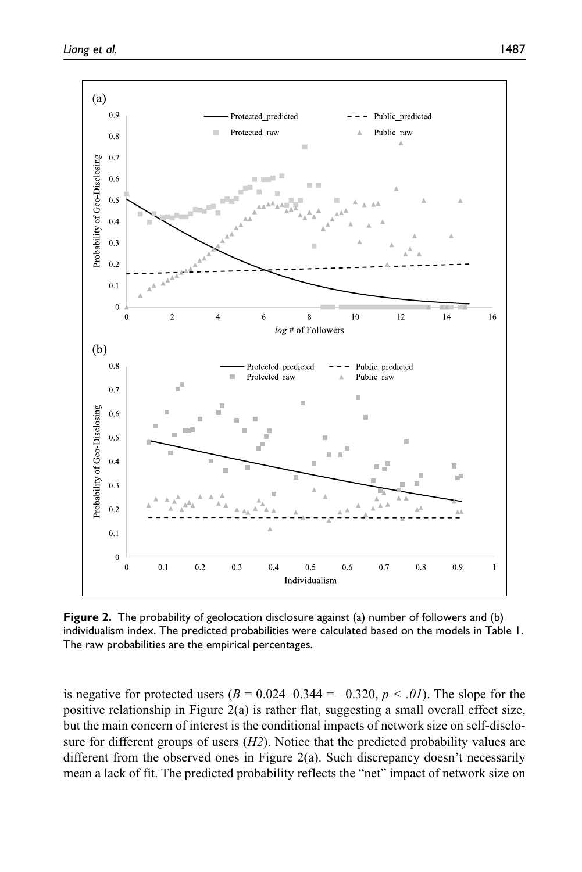

**Figure 2.** The probability of geolocation disclosure against (a) number of followers and (b) individualism index. The predicted probabilities were calculated based on the models in Table 1. The raw probabilities are the empirical percentages.

is negative for protected users  $(B = 0.024 - 0.344 = -0.320, p < .01)$ . The slope for the positive relationship in Figure 2(a) is rather flat, suggesting a small overall effect size, but the main concern of interest is the conditional impacts of network size on self-disclosure for different groups of users (*H2*). Notice that the predicted probability values are different from the observed ones in Figure 2(a). Such discrepancy doesn't necessarily mean a lack of fit. The predicted probability reflects the "net" impact of network size on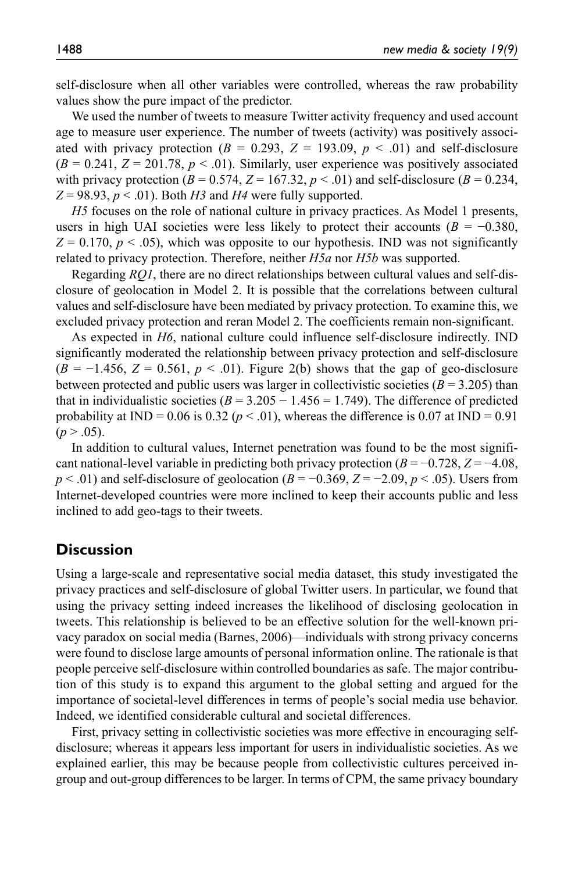self-disclosure when all other variables were controlled, whereas the raw probability values show the pure impact of the predictor.

We used the number of tweets to measure Twitter activity frequency and used account age to measure user experience. The number of tweets (activity) was positively associated with privacy protection  $(B = 0.293, Z = 193.09, p < .01)$  and self-disclosure  $(B = 0.241, Z = 201.78, p < .01)$ . Similarly, user experience was positively associated with privacy protection ( $B = 0.574$ ,  $Z = 167.32$ ,  $p < .01$ ) and self-disclosure ( $B = 0.234$ ,  $Z = 98.93$ ,  $p < .01$ ). Both *H3* and *H4* were fully supported.

*H5* focuses on the role of national culture in privacy practices. As Model 1 presents, users in high UAI societies were less likely to protect their accounts ( $B = -0.380$ ,  $Z = 0.170$ ,  $p < .05$ ), which was opposite to our hypothesis. IND was not significantly related to privacy protection. Therefore, neither *H5a* nor *H5b* was supported.

Regarding *RQ1*, there are no direct relationships between cultural values and self-disclosure of geolocation in Model 2. It is possible that the correlations between cultural values and self-disclosure have been mediated by privacy protection. To examine this, we excluded privacy protection and reran Model 2. The coefficients remain non-significant.

As expected in *H6*, national culture could influence self-disclosure indirectly. IND significantly moderated the relationship between privacy protection and self-disclosure  $(B = -1.456, Z = 0.561, p < .01)$ . Figure 2(b) shows that the gap of geo-disclosure between protected and public users was larger in collectivistic societies  $(B = 3.205)$  than that in individualistic societies  $(B = 3.205 - 1.456 = 1.749)$ . The difference of predicted probability at  $IND = 0.06$  is 0.32 ( $p < .01$ ), whereas the difference is 0.07 at  $IND = 0.91$  $(p > .05)$ .

In addition to cultural values, Internet penetration was found to be the most significant national-level variable in predicting both privacy protection  $(B = -0.728, Z = -4.08,$ *p* < .01) and self-disclosure of geolocation (*B* = −0.369, *Z* = −2.09, *p* < .05). Users from Internet-developed countries were more inclined to keep their accounts public and less inclined to add geo-tags to their tweets.

## **Discussion**

Using a large-scale and representative social media dataset, this study investigated the privacy practices and self-disclosure of global Twitter users. In particular, we found that using the privacy setting indeed increases the likelihood of disclosing geolocation in tweets. This relationship is believed to be an effective solution for the well-known privacy paradox on social media (Barnes, 2006)—individuals with strong privacy concerns were found to disclose large amounts of personal information online. The rationale is that people perceive self-disclosure within controlled boundaries as safe. The major contribution of this study is to expand this argument to the global setting and argued for the importance of societal-level differences in terms of people's social media use behavior. Indeed, we identified considerable cultural and societal differences.

First, privacy setting in collectivistic societies was more effective in encouraging selfdisclosure; whereas it appears less important for users in individualistic societies. As we explained earlier, this may be because people from collectivistic cultures perceived ingroup and out-group differences to be larger. In terms of CPM, the same privacy boundary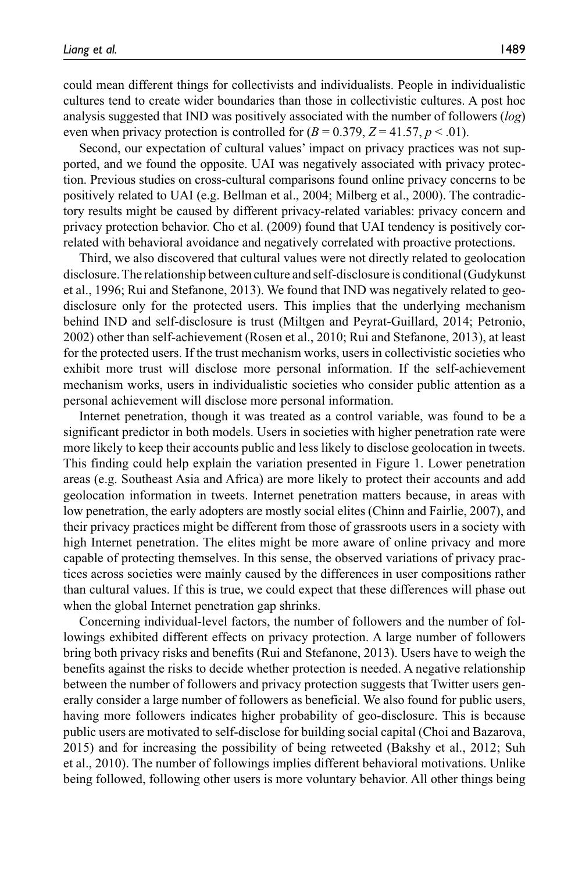could mean different things for collectivists and individualists. People in individualistic cultures tend to create wider boundaries than those in collectivistic cultures. A post hoc analysis suggested that IND was positively associated with the number of followers (*log*) even when privacy protection is controlled for  $(B = 0.379, Z = 41.57, p < .01)$ .

Second, our expectation of cultural values' impact on privacy practices was not supported, and we found the opposite. UAI was negatively associated with privacy protection. Previous studies on cross-cultural comparisons found online privacy concerns to be positively related to UAI (e.g. Bellman et al., 2004; Milberg et al., 2000). The contradictory results might be caused by different privacy-related variables: privacy concern and privacy protection behavior. Cho et al. (2009) found that UAI tendency is positively correlated with behavioral avoidance and negatively correlated with proactive protections.

Third, we also discovered that cultural values were not directly related to geolocation disclosure. The relationship between culture and self-disclosure is conditional (Gudykunst et al., 1996; Rui and Stefanone, 2013). We found that IND was negatively related to geodisclosure only for the protected users. This implies that the underlying mechanism behind IND and self-disclosure is trust (Miltgen and Peyrat-Guillard, 2014; Petronio, 2002) other than self-achievement (Rosen et al., 2010; Rui and Stefanone, 2013), at least for the protected users. If the trust mechanism works, users in collectivistic societies who exhibit more trust will disclose more personal information. If the self-achievement mechanism works, users in individualistic societies who consider public attention as a personal achievement will disclose more personal information.

Internet penetration, though it was treated as a control variable, was found to be a significant predictor in both models. Users in societies with higher penetration rate were more likely to keep their accounts public and less likely to disclose geolocation in tweets. This finding could help explain the variation presented in Figure 1. Lower penetration areas (e.g. Southeast Asia and Africa) are more likely to protect their accounts and add geolocation information in tweets. Internet penetration matters because, in areas with low penetration, the early adopters are mostly social elites (Chinn and Fairlie, 2007), and their privacy practices might be different from those of grassroots users in a society with high Internet penetration. The elites might be more aware of online privacy and more capable of protecting themselves. In this sense, the observed variations of privacy practices across societies were mainly caused by the differences in user compositions rather than cultural values. If this is true, we could expect that these differences will phase out when the global Internet penetration gap shrinks.

Concerning individual-level factors, the number of followers and the number of followings exhibited different effects on privacy protection. A large number of followers bring both privacy risks and benefits (Rui and Stefanone, 2013). Users have to weigh the benefits against the risks to decide whether protection is needed. A negative relationship between the number of followers and privacy protection suggests that Twitter users generally consider a large number of followers as beneficial. We also found for public users, having more followers indicates higher probability of geo-disclosure. This is because public users are motivated to self-disclose for building social capital (Choi and Bazarova, 2015) and for increasing the possibility of being retweeted (Bakshy et al., 2012; Suh et al., 2010). The number of followings implies different behavioral motivations. Unlike being followed, following other users is more voluntary behavior. All other things being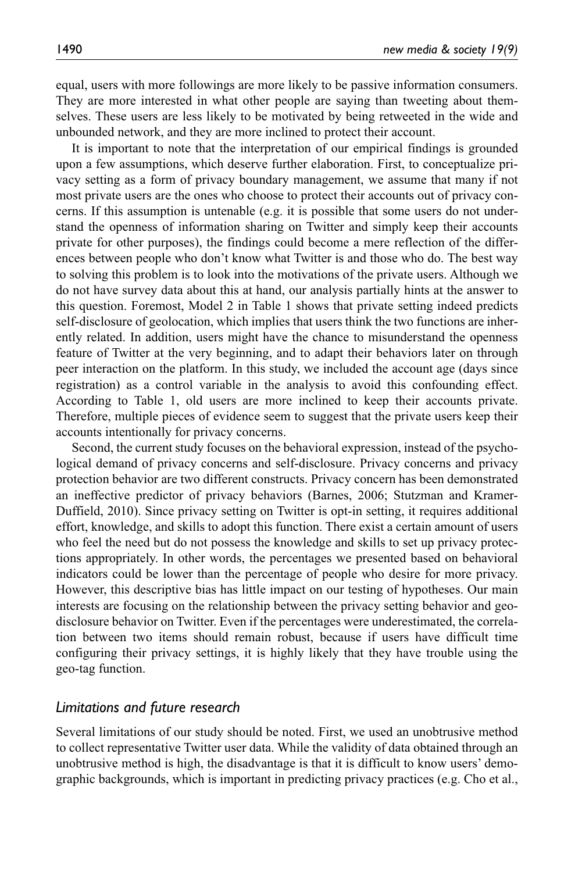equal, users with more followings are more likely to be passive information consumers. They are more interested in what other people are saying than tweeting about themselves. These users are less likely to be motivated by being retweeted in the wide and unbounded network, and they are more inclined to protect their account.

It is important to note that the interpretation of our empirical findings is grounded upon a few assumptions, which deserve further elaboration. First, to conceptualize privacy setting as a form of privacy boundary management, we assume that many if not most private users are the ones who choose to protect their accounts out of privacy concerns. If this assumption is untenable (e.g. it is possible that some users do not understand the openness of information sharing on Twitter and simply keep their accounts private for other purposes), the findings could become a mere reflection of the differences between people who don't know what Twitter is and those who do. The best way to solving this problem is to look into the motivations of the private users. Although we do not have survey data about this at hand, our analysis partially hints at the answer to this question. Foremost, Model 2 in Table 1 shows that private setting indeed predicts self-disclosure of geolocation, which implies that users think the two functions are inherently related. In addition, users might have the chance to misunderstand the openness feature of Twitter at the very beginning, and to adapt their behaviors later on through peer interaction on the platform. In this study, we included the account age (days since registration) as a control variable in the analysis to avoid this confounding effect. According to Table 1, old users are more inclined to keep their accounts private. Therefore, multiple pieces of evidence seem to suggest that the private users keep their accounts intentionally for privacy concerns.

Second, the current study focuses on the behavioral expression, instead of the psychological demand of privacy concerns and self-disclosure. Privacy concerns and privacy protection behavior are two different constructs. Privacy concern has been demonstrated an ineffective predictor of privacy behaviors (Barnes, 2006; Stutzman and Kramer-Duffield, 2010). Since privacy setting on Twitter is opt-in setting, it requires additional effort, knowledge, and skills to adopt this function. There exist a certain amount of users who feel the need but do not possess the knowledge and skills to set up privacy protections appropriately. In other words, the percentages we presented based on behavioral indicators could be lower than the percentage of people who desire for more privacy. However, this descriptive bias has little impact on our testing of hypotheses. Our main interests are focusing on the relationship between the privacy setting behavior and geodisclosure behavior on Twitter. Even if the percentages were underestimated, the correlation between two items should remain robust, because if users have difficult time configuring their privacy settings, it is highly likely that they have trouble using the geo-tag function.

#### *Limitations and future research*

Several limitations of our study should be noted. First, we used an unobtrusive method to collect representative Twitter user data. While the validity of data obtained through an unobtrusive method is high, the disadvantage is that it is difficult to know users' demographic backgrounds, which is important in predicting privacy practices (e.g. Cho et al.,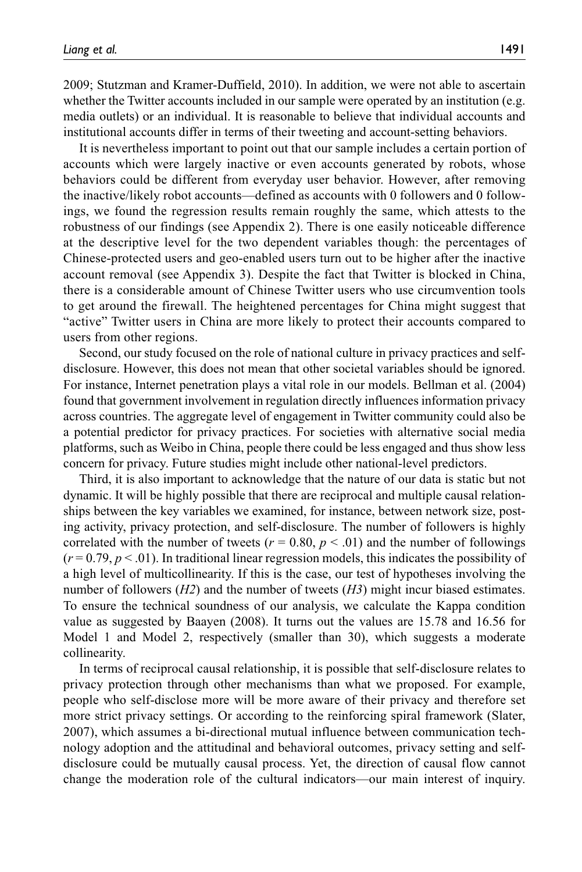2009; Stutzman and Kramer-Duffield, 2010). In addition, we were not able to ascertain whether the Twitter accounts included in our sample were operated by an institution (e.g. media outlets) or an individual. It is reasonable to believe that individual accounts and institutional accounts differ in terms of their tweeting and account-setting behaviors.

It is nevertheless important to point out that our sample includes a certain portion of accounts which were largely inactive or even accounts generated by robots, whose behaviors could be different from everyday user behavior. However, after removing the inactive/likely robot accounts—defined as accounts with 0 followers and 0 followings, we found the regression results remain roughly the same, which attests to the robustness of our findings (see Appendix 2). There is one easily noticeable difference at the descriptive level for the two dependent variables though: the percentages of Chinese-protected users and geo-enabled users turn out to be higher after the inactive account removal (see Appendix 3). Despite the fact that Twitter is blocked in China, there is a considerable amount of Chinese Twitter users who use circumvention tools to get around the firewall. The heightened percentages for China might suggest that "active" Twitter users in China are more likely to protect their accounts compared to users from other regions.

Second, our study focused on the role of national culture in privacy practices and selfdisclosure. However, this does not mean that other societal variables should be ignored. For instance, Internet penetration plays a vital role in our models. Bellman et al. (2004) found that government involvement in regulation directly influences information privacy across countries. The aggregate level of engagement in Twitter community could also be a potential predictor for privacy practices. For societies with alternative social media platforms, such as Weibo in China, people there could be less engaged and thus show less concern for privacy. Future studies might include other national-level predictors.

Third, it is also important to acknowledge that the nature of our data is static but not dynamic. It will be highly possible that there are reciprocal and multiple causal relationships between the key variables we examined, for instance, between network size, posting activity, privacy protection, and self-disclosure. The number of followers is highly correlated with the number of tweets ( $r = 0.80$ ,  $p < .01$ ) and the number of followings  $(r = 0.79, p < .01)$ . In traditional linear regression models, this indicates the possibility of a high level of multicollinearity. If this is the case, our test of hypotheses involving the number of followers (*H2*) and the number of tweets (*H3*) might incur biased estimates. To ensure the technical soundness of our analysis, we calculate the Kappa condition value as suggested by Baayen (2008). It turns out the values are 15.78 and 16.56 for Model 1 and Model 2, respectively (smaller than 30), which suggests a moderate collinearity.

In terms of reciprocal causal relationship, it is possible that self-disclosure relates to privacy protection through other mechanisms than what we proposed. For example, people who self-disclose more will be more aware of their privacy and therefore set more strict privacy settings. Or according to the reinforcing spiral framework (Slater, 2007), which assumes a bi-directional mutual influence between communication technology adoption and the attitudinal and behavioral outcomes, privacy setting and selfdisclosure could be mutually causal process. Yet, the direction of causal flow cannot change the moderation role of the cultural indicators—our main interest of inquiry.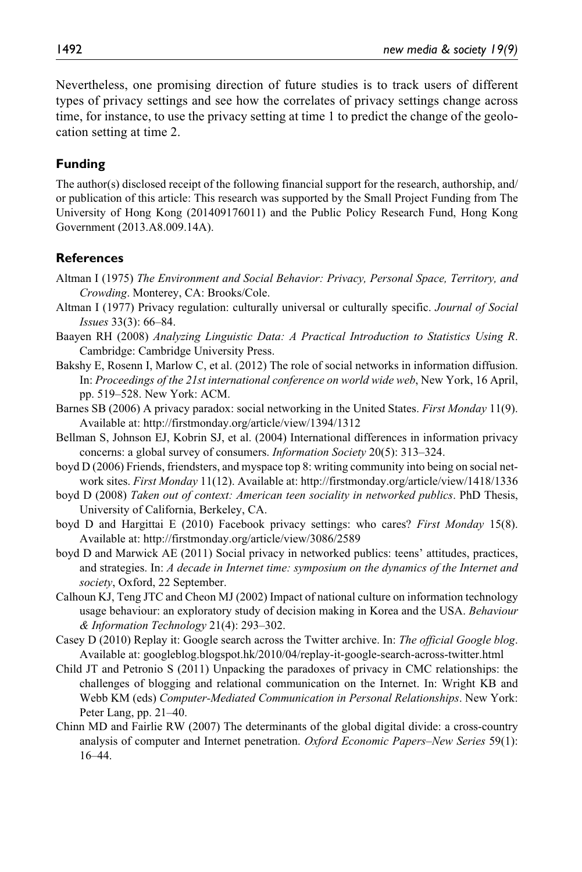Nevertheless, one promising direction of future studies is to track users of different types of privacy settings and see how the correlates of privacy settings change across time, for instance, to use the privacy setting at time 1 to predict the change of the geolocation setting at time 2.

#### **Funding**

The author(s) disclosed receipt of the following financial support for the research, authorship, and/ or publication of this article: This research was supported by the Small Project Funding from The University of Hong Kong (201409176011) and the Public Policy Research Fund, Hong Kong Government (2013.A8.009.14A).

#### **References**

- Altman I (1975) *The Environment and Social Behavior: Privacy, Personal Space, Territory, and Crowding*. Monterey, CA: Brooks/Cole.
- Altman I (1977) Privacy regulation: culturally universal or culturally specific. *Journal of Social Issues* 33(3): 66–84.
- Baayen RH (2008) *Analyzing Linguistic Data: A Practical Introduction to Statistics Using R*. Cambridge: Cambridge University Press.
- Bakshy E, Rosenn I, Marlow C, et al. (2012) The role of social networks in information diffusion. In: *Proceedings of the 21st international conference on world wide web*, New York, 16 April, pp. 519–528. New York: ACM.

Barnes SB (2006) A privacy paradox: social networking in the United States. *First Monday* 11(9). Available at: http://firstmonday.org/article/view/1394/1312

- Bellman S, Johnson EJ, Kobrin SJ, et al. (2004) International differences in information privacy concerns: a global survey of consumers. *Information Society* 20(5): 313–324.
- boyd D (2006) Friends, friendsters, and myspace top 8: writing community into being on social network sites. *First Monday* 11(12). Available at: http://firstmonday.org/article/view/1418/1336
- boyd D (2008) *Taken out of context: American teen sociality in networked publics*. PhD Thesis, University of California, Berkeley, CA.
- boyd D and Hargittai E (2010) Facebook privacy settings: who cares? *First Monday* 15(8). Available at: http://firstmonday.org/article/view/3086/2589
- boyd D and Marwick AE (2011) Social privacy in networked publics: teens' attitudes, practices, and strategies. In: *A decade in Internet time: symposium on the dynamics of the Internet and society*, Oxford, 22 September.
- Calhoun KJ, Teng JTC and Cheon MJ (2002) Impact of national culture on information technology usage behaviour: an exploratory study of decision making in Korea and the USA. *Behaviour & Information Technology* 21(4): 293–302.
- Casey D (2010) Replay it: Google search across the Twitter archive. In: *The official Google blog*. Available at: googleblog.blogspot.hk/2010/04/replay-it-google-search-across-twitter.html
- Child JT and Petronio S (2011) Unpacking the paradoxes of privacy in CMC relationships: the challenges of blogging and relational communication on the Internet. In: Wright KB and Webb KM (eds) *Computer-Mediated Communication in Personal Relationships*. New York: Peter Lang, pp. 21–40.
- Chinn MD and Fairlie RW (2007) The determinants of the global digital divide: a cross-country analysis of computer and Internet penetration. *Oxford Economic Papers–New Series* 59(1): 16–44.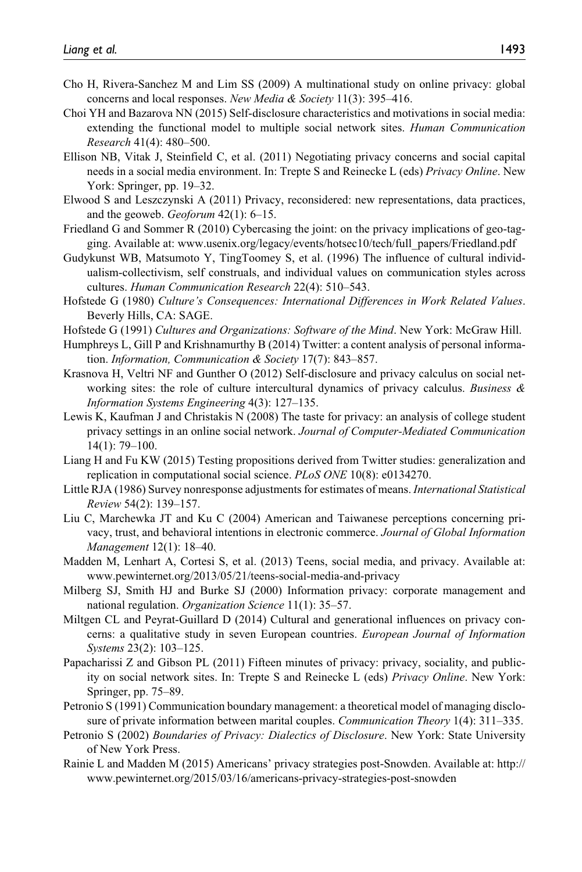- Cho H, Rivera-Sanchez M and Lim SS (2009) A multinational study on online privacy: global concerns and local responses. *New Media & Society* 11(3): 395–416.
- Choi YH and Bazarova NN (2015) Self-disclosure characteristics and motivations in social media: extending the functional model to multiple social network sites. *Human Communication Research* 41(4): 480–500.
- Ellison NB, Vitak J, Steinfield C, et al. (2011) Negotiating privacy concerns and social capital needs in a social media environment. In: Trepte S and Reinecke L (eds) *Privacy Online*. New York: Springer, pp. 19–32.
- Elwood S and Leszczynski A (2011) Privacy, reconsidered: new representations, data practices, and the geoweb. *Geoforum* 42(1): 6–15.
- Friedland G and Sommer R (2010) Cybercasing the joint: on the privacy implications of geo-tagging. Available at: www.usenix.org/legacy/events/hotsec10/tech/full\_papers/Friedland.pdf
- Gudykunst WB, Matsumoto Y, TingToomey S, et al. (1996) The influence of cultural individualism-collectivism, self construals, and individual values on communication styles across cultures. *Human Communication Research* 22(4): 510–543.
- Hofstede G (1980) *Culture's Consequences: International Differences in Work Related Values*. Beverly Hills, CA: SAGE.
- Hofstede G (1991) *Cultures and Organizations: Software of the Mind*. New York: McGraw Hill.
- Humphreys L, Gill P and Krishnamurthy B (2014) Twitter: a content analysis of personal information. *Information, Communication & Society* 17(7): 843–857.
- Krasnova H, Veltri NF and Gunther O (2012) Self-disclosure and privacy calculus on social networking sites: the role of culture intercultural dynamics of privacy calculus. *Business & Information Systems Engineering* 4(3): 127–135.
- Lewis K, Kaufman J and Christakis N (2008) The taste for privacy: an analysis of college student privacy settings in an online social network. *Journal of Computer-Mediated Communication* 14(1): 79–100.
- Liang H and Fu KW (2015) Testing propositions derived from Twitter studies: generalization and replication in computational social science. *PLoS ONE* 10(8): e0134270.
- Little RJA (1986) Survey nonresponse adjustments for estimates of means. *International Statistical Review* 54(2): 139–157.
- Liu C, Marchewka JT and Ku C (2004) American and Taiwanese perceptions concerning privacy, trust, and behavioral intentions in electronic commerce. *Journal of Global Information Management* 12(1): 18–40.
- Madden M, Lenhart A, Cortesi S, et al. (2013) Teens, social media, and privacy. Available at: www.pewinternet.org/2013/05/21/teens-social-media-and-privacy
- Milberg SJ, Smith HJ and Burke SJ (2000) Information privacy: corporate management and national regulation. *Organization Science* 11(1): 35–57.
- Miltgen CL and Peyrat-Guillard D (2014) Cultural and generational influences on privacy concerns: a qualitative study in seven European countries. *European Journal of Information Systems* 23(2): 103–125.
- Papacharissi Z and Gibson PL (2011) Fifteen minutes of privacy: privacy, sociality, and publicity on social network sites. In: Trepte S and Reinecke L (eds) *Privacy Online*. New York: Springer, pp. 75–89.
- Petronio S (1991) Communication boundary management: a theoretical model of managing disclosure of private information between marital couples. *Communication Theory* 1(4): 311–335.
- Petronio S (2002) *Boundaries of Privacy: Dialectics of Disclosure*. New York: State University of New York Press.
- Rainie L and Madden M (2015) Americans' privacy strategies post-Snowden. Available at: http:// www.pewinternet.org/2015/03/16/americans-privacy-strategies-post-snowden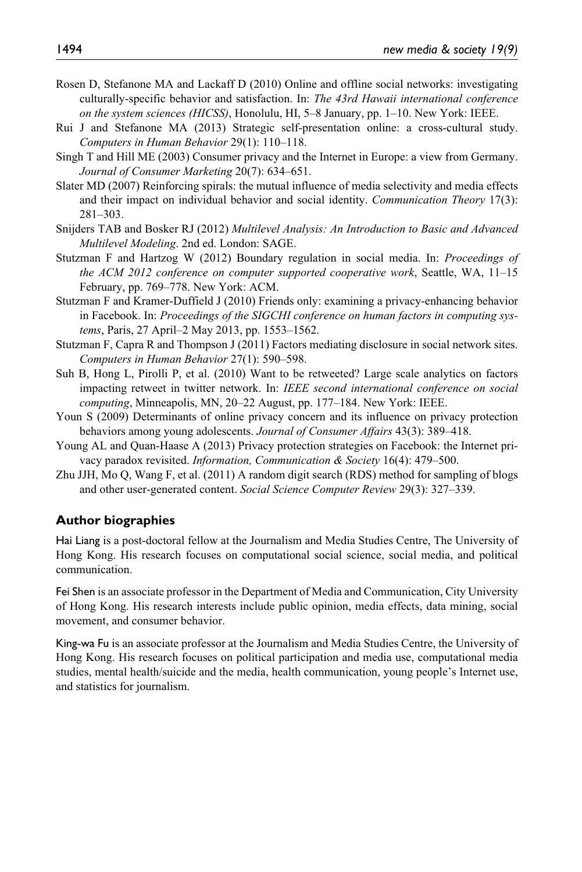- Rosen D, Stefanone MA and Lackaff D (2010) Online and offline social networks: investigating culturally-specific behavior and satisfaction. In: *The 43rd Hawaii international conference on the system sciences (HICSS)*, Honolulu, HI, 5–8 January, pp. 1–10. New York: IEEE.
- Rui J and Stefanone MA (2013) Strategic self-presentation online: a cross-cultural study. *Computers in Human Behavior* 29(1): 110–118.
- Singh T and Hill ME (2003) Consumer privacy and the Internet in Europe: a view from Germany. *Journal of Consumer Marketing* 20(7): 634–651.
- Slater MD (2007) Reinforcing spirals: the mutual influence of media selectivity and media effects and their impact on individual behavior and social identity. *Communication Theory* 17(3): 281–303.
- Snijders TAB and Bosker RJ (2012) *Multilevel Analysis: An Introduction to Basic and Advanced Multilevel Modeling*. 2nd ed. London: SAGE.
- Stutzman F and Hartzog W (2012) Boundary regulation in social media. In: *Proceedings of the ACM 2012 conference on computer supported cooperative work*, Seattle, WA, 11–15 February, pp. 769–778. New York: ACM.
- Stutzman F and Kramer-Duffield J (2010) Friends only: examining a privacy-enhancing behavior in Facebook. In: *Proceedings of the SIGCHI conference on human factors in computing systems*, Paris, 27 April–2 May 2013, pp. 1553–1562.
- Stutzman F, Capra R and Thompson J (2011) Factors mediating disclosure in social network sites. *Computers in Human Behavior* 27(1): 590–598.
- Suh B, Hong L, Pirolli P, et al. (2010) Want to be retweeted? Large scale analytics on factors impacting retweet in twitter network. In: *IEEE second international conference on social computing*, Minneapolis, MN, 20–22 August, pp. 177–184. New York: IEEE.
- Youn S (2009) Determinants of online privacy concern and its influence on privacy protection behaviors among young adolescents. *Journal of Consumer Affairs* 43(3): 389–418.
- Young AL and Quan-Haase A (2013) Privacy protection strategies on Facebook: the Internet privacy paradox revisited. *Information, Communication & Society* 16(4): 479–500.
- Zhu JJH, Mo Q, Wang F, et al. (2011) A random digit search (RDS) method for sampling of blogs and other user-generated content. *Social Science Computer Review* 29(3): 327–339.

#### **Author biographies**

Hai Liang is a post-doctoral fellow at the Journalism and Media Studies Centre, The University of Hong Kong. His research focuses on computational social science, social media, and political communication.

Fei Shen is an associate professor in the Department of Media and Communication, City University of Hong Kong. His research interests include public opinion, media effects, data mining, social movement, and consumer behavior.

King-wa Fu is an associate professor at the Journalism and Media Studies Centre, the University of Hong Kong. His research focuses on political participation and media use, computational media studies, mental health/suicide and the media, health communication, young people's Internet use, and statistics for journalism.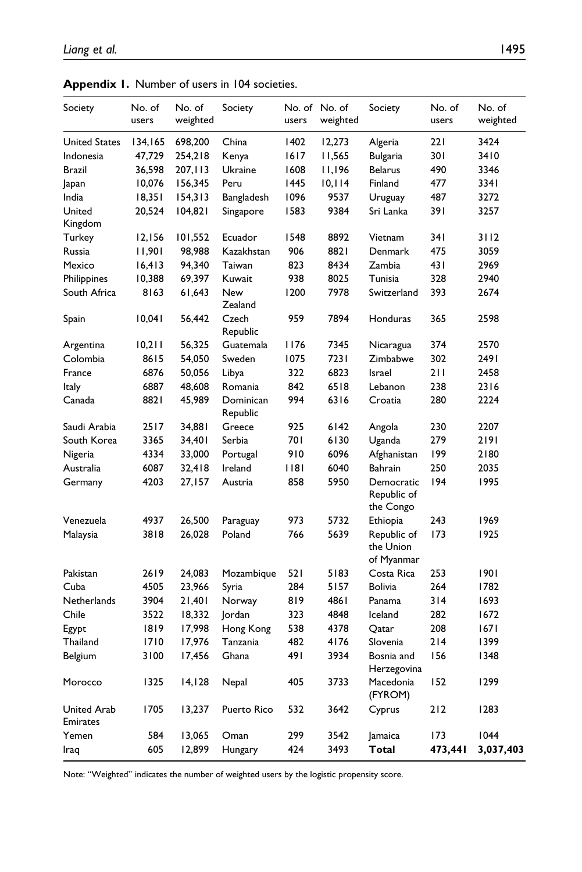| Society                               | No. of<br>users | No. of<br>weighted | Society               | users | No. of No. of<br>weighted | Society                                | No. of<br>users | No. of<br>weighted |
|---------------------------------------|-----------------|--------------------|-----------------------|-------|---------------------------|----------------------------------------|-----------------|--------------------|
| <b>United States</b>                  | 134,165         | 698,200            | China                 | 1402  | 12,273                    | Algeria                                | 221             | 3424               |
| Indonesia                             | 47,729          | 254,218            | Kenya                 | 1617  | 11,565                    | Bulgaria                               | 301             | 3410               |
| <b>Brazil</b>                         | 36,598          | 207, II3           | Ukraine               | 1608  | 11,196                    | <b>Belarus</b>                         | 490             | 3346               |
| Japan                                 | 10,076          | 156,345            | Peru                  | 1445  | 10, 114                   | Finland                                | 477             | 334 I              |
| India                                 | 18,351          | 154,313            | Bangladesh            | 1096  | 9537                      | Uruguay                                | 487             | 3272               |
| United<br>Kingdom                     | 20,524          | 104,821            | Singapore             | 1583  | 9384                      | Sri Lanka                              | 391             | 3257               |
| Turkey                                | 12,156          | 101,552            | Ecuador               | 1548  | 8892                      | Vietnam                                | 341             | 3112               |
| Russia                                | 11,901          | 98,988             | Kazakhstan            | 906   | 8821                      | Denmark                                | 475             | 3059               |
| Mexico                                | 16,413          | 94,340             | Taiwan                | 823   | 8434                      | Zambia                                 | 431             | 2969               |
| Philippines                           | 10,388          | 69,397             | Kuwait                | 938   | 8025                      | Tunisia                                | 328             | 2940               |
| South Africa                          | 8163            | 61,643             | New<br>Zealand        | 1200  | 7978                      | Switzerland                            | 393             | 2674               |
| Spain                                 | 10,041          | 56,442             | Czech<br>Republic     | 959   | 7894                      | <b>Honduras</b>                        | 365             | 2598               |
| Argentina                             | 10,211          | 56,325             | Guatemala             | 1176  | 7345                      | Nicaragua                              | 374             | 2570               |
| Colombia                              | 8615            | 54,050             | Sweden                | 1075  | 7231                      | Zimbabwe                               | 302             | 2491               |
| France                                | 6876            | 50,056             | Libya                 | 322   | 6823                      | Israel                                 | 211             | 2458               |
| Italy                                 | 6887            | 48,608             | Romania               | 842   | 6518                      | Lebanon                                | 238             | 2316               |
| Canada                                | 8821            | 45,989             | Dominican<br>Republic | 994   | 6316                      | Croatia                                | 280             | 2224               |
| Saudi Arabia                          | 2517            | 34,881             | Greece                | 925   | 6142                      | Angola                                 | 230             | 2207               |
| South Korea                           | 3365            | 34,401             | Serbia                | 701   | 6130                      | Uganda                                 | 279             | 2191               |
| Nigeria                               | 4334            | 33,000             | Portugal              | 910   | 6096                      | Afghanistan                            | 199             | 2180               |
| Australia                             | 6087            | 32,418             | Ireland               | 1181  | 6040                      | Bahrain                                | 250             | 2035               |
| Germany                               | 4203            | 27,157             | Austria               | 858   | 5950                      | Democratic<br>Republic of<br>the Congo | 194             | 1995               |
| Venezuela                             | 4937            | 26,500             | Paraguay              | 973   | 5732                      | Ethiopia                               | 243             | 1969               |
| Malaysia                              | 3818            | 26,028             | Poland                | 766   | 5639                      | Republic of<br>the Union<br>of Myanmar | 173             | 1925               |
| Pakistan                              | 2619            | 24,083             | Mozambique            | 521   | 5183                      | Costa Rica                             | 253             | 1901               |
| Cuba                                  | 4505            | 23,966             | Syria                 | 284   | 5157                      | <b>Bolivia</b>                         | 264             | 1782               |
| <b>Netherlands</b>                    | 3904            | 21,401             | Norway                | 819   | 4861                      | Panama                                 | 314             | 1693               |
| Chile                                 | 3522            | 18,332             | Jordan                | 323   | 4848                      | Iceland                                | 282             | 1672               |
| Egypt                                 | 1819            | 17,998             | Hong Kong             | 538   | 4378                      | Qatar                                  | 208             | 1671               |
| Thailand                              | 1710            | 17,976             | Tanzania              | 482   | 4176                      | Slovenia                               | 214             | 1399               |
| Belgium                               | 3100            | 17,456             | Ghana                 | 491   | 3934                      | Bosnia and<br>Herzegovina              | 156             | 1348               |
| Morocco                               | 1325            | 14,128             | Nepal                 | 405   | 3733                      | Macedonia<br>(FYROM)                   | 152             | 1299               |
| <b>United Arab</b><br><b>Emirates</b> | 1705            | 13,237             | Puerto Rico           | 532   | 3642                      | Cyprus                                 | 212             | 1283               |
| Yemen                                 | 584             | 13,065             | Oman                  | 299   | 3542                      | Jamaica                                | 173             | 1044               |
| Iraq                                  | 605             | 12,899             | Hungary               | 424   | 3493                      | Total                                  | 473,441         | 3,037,403          |

**Appendix 1.** Number of users in 104 societies.

Note: "Weighted" indicates the number of weighted users by the logistic propensity score.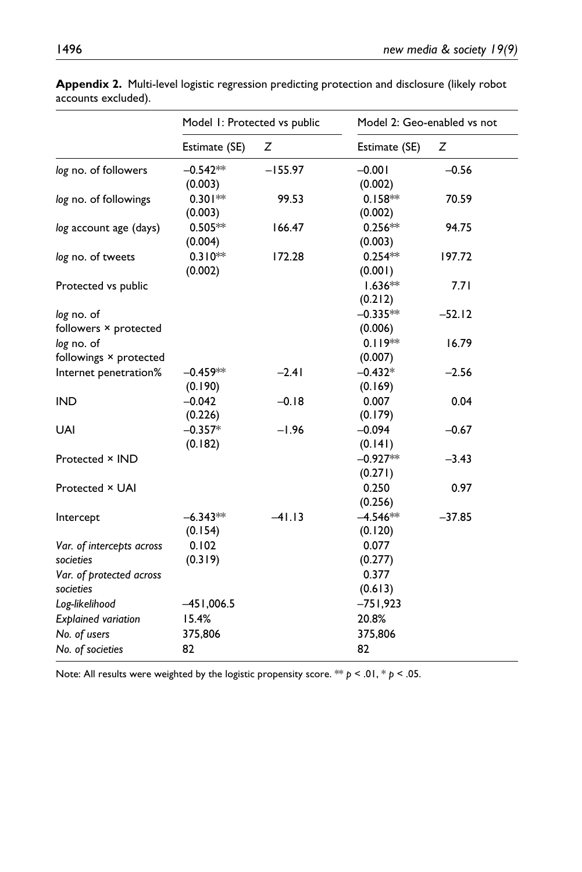| Model 2: Geo-enabled vs not |  |  |
|-----------------------------|--|--|
|                             |  |  |
|                             |  |  |
|                             |  |  |
|                             |  |  |
|                             |  |  |
|                             |  |  |
|                             |  |  |
|                             |  |  |
|                             |  |  |
|                             |  |  |
|                             |  |  |
|                             |  |  |
|                             |  |  |
|                             |  |  |
|                             |  |  |
|                             |  |  |
|                             |  |  |

**Appendix 2.** Multi-level logistic regression predicting protection and disclosure (likely robot accounts excluded).

Note: All results were weighted by the logistic propensity score. \*\* *p* < .01, \* *p* < .05.